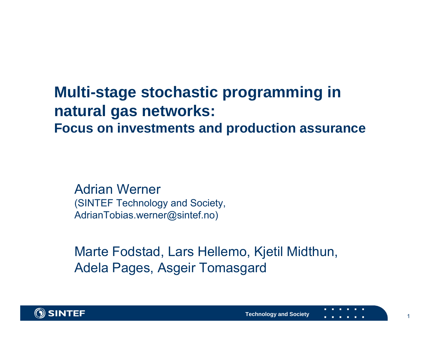#### **Multi-stage stochastic programming in natural gas networks: Focus on investments and production assurance**

Adrian Werner(SINTEF Technology and Society, AdrianTobias.werner@sintef.no)

Marte Fodstad, Lars Hellemo, Kjetil Midthun, Adela Pages, Asgeir Tomasgard

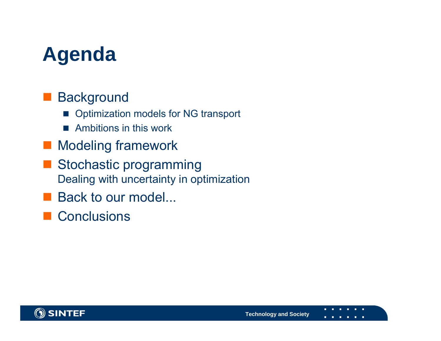# **Agenda**

#### **Background**

- $\sim$ Optimization models for NG transport
- $\sim$ Ambitions in this work
- **Modeling framework**
- Stochastic programming Dealing with uncertainty in optimization
- Back to our model...
- Conclusions

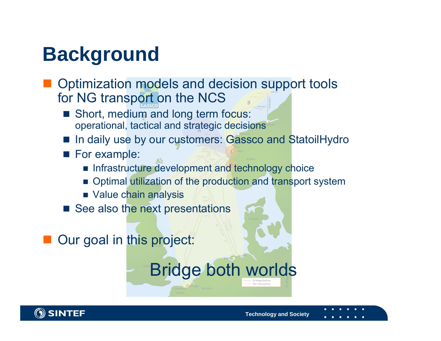# **Background**

- Optimization models and decision support tools for NG transport on the NCS
	- Short, medium and long term focus: operational, tactical and strategic decisions
	- F. In daily use by our customers: Gassco and StatoilHydro
	- **For example:**

**OSINTEF** 

- **Infrastructure development and technology choice**
- **Department Deptemand The System Dependication and transport system**

Bridge both worlds

**Technology and Society**

- Value chain analysis
- See also the next presentations

Our goal in this project: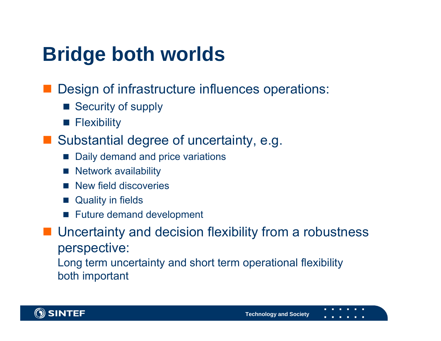# **Bridge both worlds**

- Design of infrastructure influences operations:
	- Security of supply
	- **Flexibility**
- **Substantial degree of uncertainty, e.g.** 
	- $\mathbb{R}^2$ Daily demand and price variations
	- $\mathbb{R}^2$ Network availability
	- New field discoveries
	- $\mathbb{R}^2$ Quality in fields
	- $\mathbb{R}^2$ Future demand development

**Uncertainty and decision flexibility from a robustness** perspective:

Long term uncertainty and short term operational flexibility both important

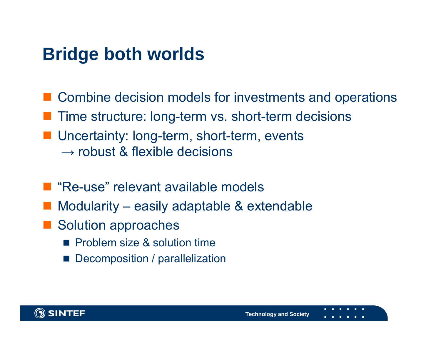## **Bridge both worlds**

- Combine decision models for investments and operations
- **Thime structure: long-term vs. short-term decisions**
- **Uncertainty: long-term, short-term, events**  $\rightarrow$  robust & flexible decisions
- "Re-use" relevant available models
- $\mathcal{L}^{\text{max}}_{\text{max}}$ Modularity – easily adaptable & extendable
- Solution approaches
	- **Problem size & solution time**
	- r. Decomposition / parallelization

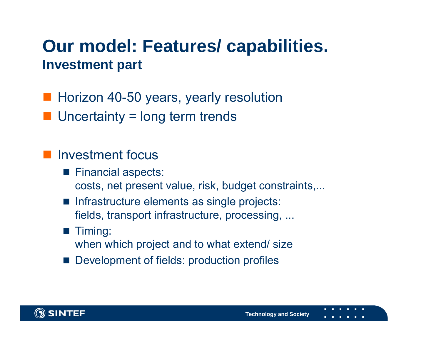#### **Our model: Features/ capabilities. Investment part**

- **Horizon 40-50 years, yearly resolution**
- Uncertainty = long term trends

#### **Investment focus**

- $\blacksquare$  Financial aspects: costs, net present value, risk, budget constraints,...
- **Infrastructure elements as single projects:** fields, transport infrastructure, processing, ...

#### **Timing:**

when which project and to what extend/ size

r. Development of fields: production profiles

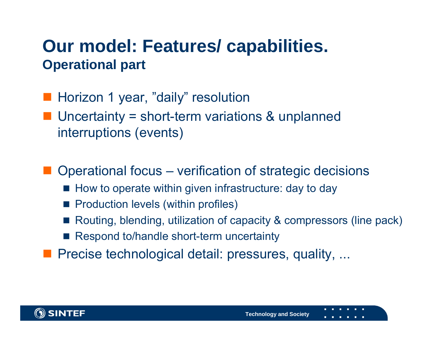#### **Our model: Features/ capabilities. Operational part**

- **Horizon 1 year, "daily" resolution**
- Uncertainty = short-term variations & unplanned interruptions (events)

■ Operational focus – verification of strategic decisions

- How to operate within given infrastructure: day to day
- Production levels (within profiles)
- Routing, blending, utilization of capacity & compressors (line pack)
- Respond to/handle short-term uncertainty

**Precise technological detail: pressures, quality, ...** 

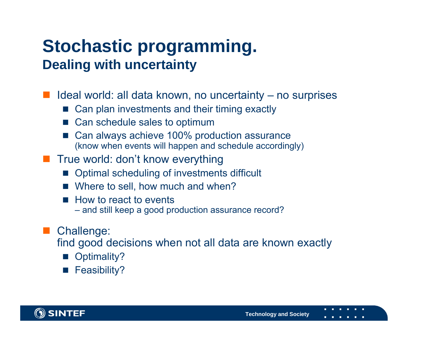## **Stochastic programming. Dealing with uncertainty**

Ideal world: all data known, no uncertainty – no surprises

- Can plan investments and their timing exactly
- Can schedule sales to optimum
- m, Can always achieve 100% production assurance (know when events will happen and schedule accordingly)
- **Thata True world: don't know everything** 
	- Optimal scheduling of investments difficult
	- Where to sell, how much and when?
	- $\mathbb{R}^2$  How to react to events
		- and still keep a good production assurance record?

#### $\mathcal{L}^{\text{max}}_{\text{max}}$ Challenge:

find good decisions when not all data are known exactly

- m, Optimality?
- Feasibility?

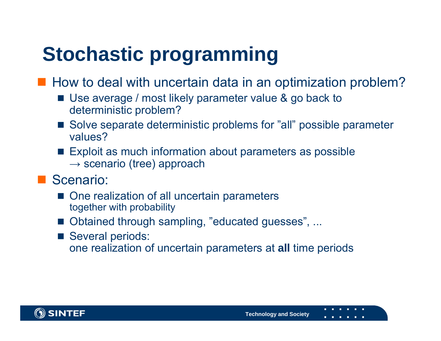# **Stochastic programming**

■ How to deal with uncertain data in an optimization problem?

- Use average / most likely parameter value & go back to deterministic problem?
- Solve separate deterministic problems for "all" possible parameter values?
- Exploit as much information about parameters as possible  $\rightarrow$  scenario (tree) approach
- Scenario:
	- One realization of all uncertain parameters together with probability
	- Obtained through sampling, "educated guesses", ...
	- Several periods: one realization of uncertain parameters at **all** time periods

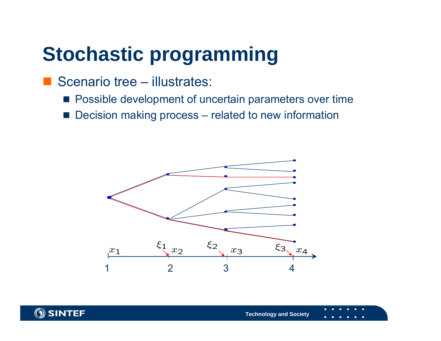## **Stochastic programming**

- Scenario tree illustrates:
	- **Possible development of uncertain parameters over time**
	- Decision making process related to new information



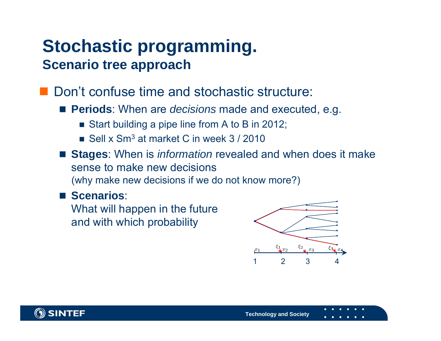## **Stochastic programming. Scenario tree approach**

■ Don't confuse time and stochastic structure:

- **Periods**: When are *decisions* made and executed, e.g.
	- Start building a pipe line from A to B in 2012;
	- Sell x Sm<sup>3</sup> at market C in week 3 / 2010
- **Stages**: When is *information* revealed and when does it make sense to make new decisions(why make new decisions if we do not know more?)

#### **E** Scenarios:

What will happen in the future and with which probability



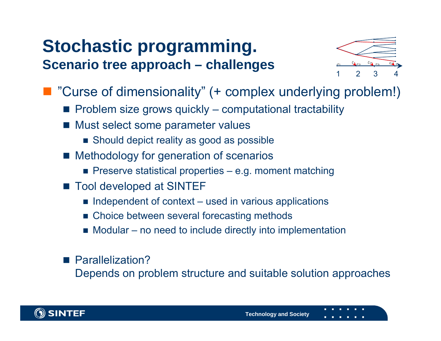## **Stochastic programming. Scenario tree approach – challenges**



- "Curse of dimensionality" (+ complex underlying problem!)
	- $\blacksquare$  Problem size grows quickly computational tractability
	- Must select some parameter values
		- Should depict reality as good as possible
	- **Methodology for generation of scenarios** 
		- Preserve statistical properties e.g. moment matching
	- Tool developed at SINTEF
		- $\blacksquare$  Independent of context used in various applications
		- Choice between several forecasting methods
		- Modular no need to include directly into implementation

■ Parallelization? Depends on problem structure and suitable solution approaches

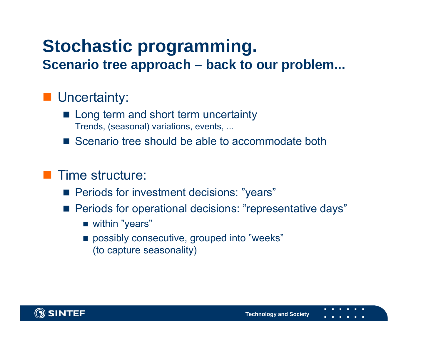# **Stochastic programming.**

**Scenario tree approach – back to our problem...**

#### **Uncertainty:**

- **Long term and short term uncertainty** Trends, (seasonal) variations, events, ...
- Scenario tree should be able to accommodate both

#### **Time structure:**

- **Periods for investment decisions: "years"**
- **Periods for operational decisions: "representative days"** 
	- within "years"
	- possibly consecutive, grouped into "weeks" (to capture seasonality)

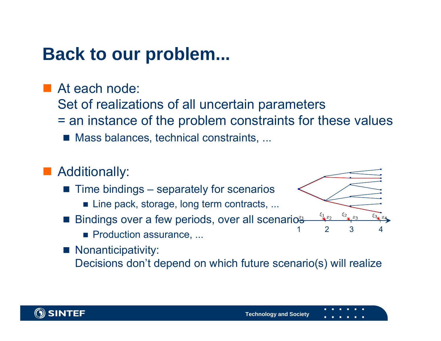## **Back to our problem...**

■ At each node: Set of realizations of all uncertain parameters

- = an instance of the problem constraints for these values
	- Mass balances, technical constraints, ...

#### **Additionally:**

- $\blacksquare$  Time bindings separately for scenarios
	- Line pack, storage, long term contracts, ...
- Bindings over a few periods, over all scenarios
	- **Production assurance, ...**

 $\blacksquare$  Nonanticipativity:

Decisions don't depend on which future scenario(s) will realize



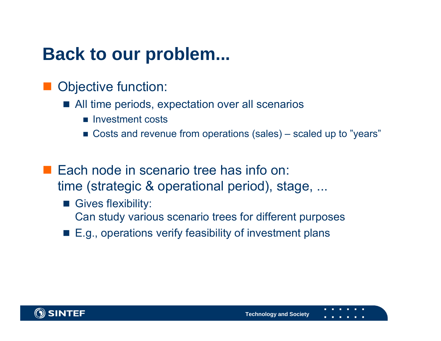## **Back to our problem...**

- Objective function:
	- All time periods, expectation over all scenarios
		- **Investment costs**
		- Costs and revenue from operations (sales) scaled up to "years"
- **Each node in scenario tree has info on:** time (strategic & operational period), stage, ...
	- Gives flexibility: Can study various scenario trees for different purposes
	- E.g., operations verify feasibility of investment plans

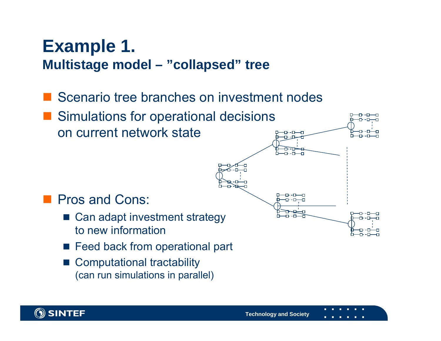#### **Example 1. Multistage model – "collapsed" tree**

- Scenario tree branches on investment nodes
- Simulations for operational decisions п-п—п on current network stateח- $-1$   $-1$ –∩- - ⊡—–⊓ **Pros and Cons:** ᅲ-ᇚ -0-0-0 ᅲ- - 冖
	- Can adapt investment strategy to new information
	- Feed back from operational part
	- Computational tractability (can run simulations in parallel)

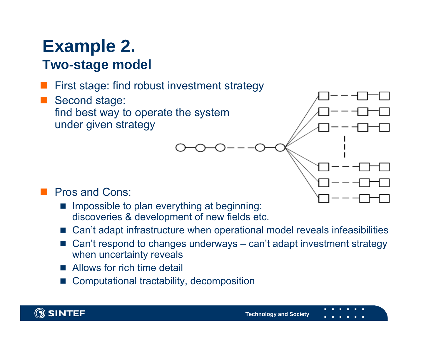#### **Example 2. Two-stage model**

#### First stage: find robust investment strategy

 Second stage: find best way to operate the system under given strategy



- Impossible to plan everything at beginning: discoveries & development of new fields etc.
- Can't adapt infrastructure when operational model reveals infeasibilities
- L Can't respond to changes underways – can't adapt investment strategy when uncertainty reveals
- Allows for rich time detail
- F. Computational tractability, decomposition

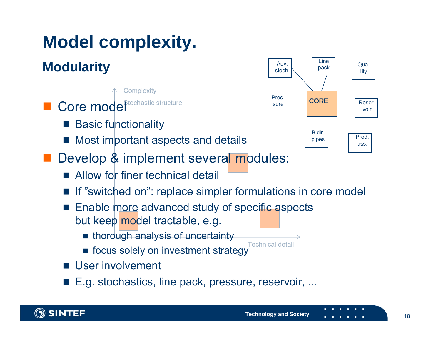## **Model complexity.**

#### **Modularity**

**Complexity** 

- **Core model**<sup>ttochastic structure</sub></sup>
	- Basic functionality
	- Most important aspects and details
- **Develop & implement several modules:** 
	- Allow for finer technical detail
	- If "switched on": replace simpler formulations in core model
	- Enable more advanced study of specific aspects but keep <mark>model tractable, e.g.</mark>
		- thorough analysis of uncertainty
		- Technical detail**n** focus solely on investment strategy
	- **User involvement**
	- E.g. stochastics, line pack, pressure, reservoir, ...



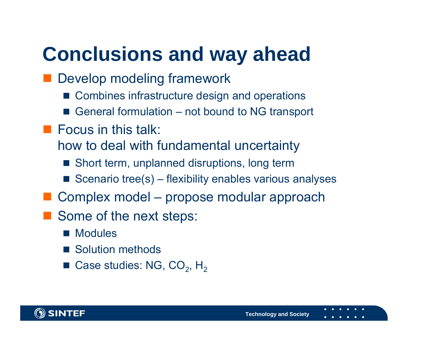# **Conclusions and way ahead**

- **Develop modeling framework** 
	- Combines infrastructure design and operations
	- General formulation not bound to NG transport
- $\blacksquare$  Focus in this talk:
	- how to deal with fundamental uncertainty
		- Short term, unplanned disruptions, long term
		- Scenario tree $(s)$  flexibility enables various analyses
- Complex model propose modular approach
- Some of the next steps:
	- Modules
	- Solution methods
	- Case studies: NG, CO<sub>2</sub>, H<sub>2</sub>